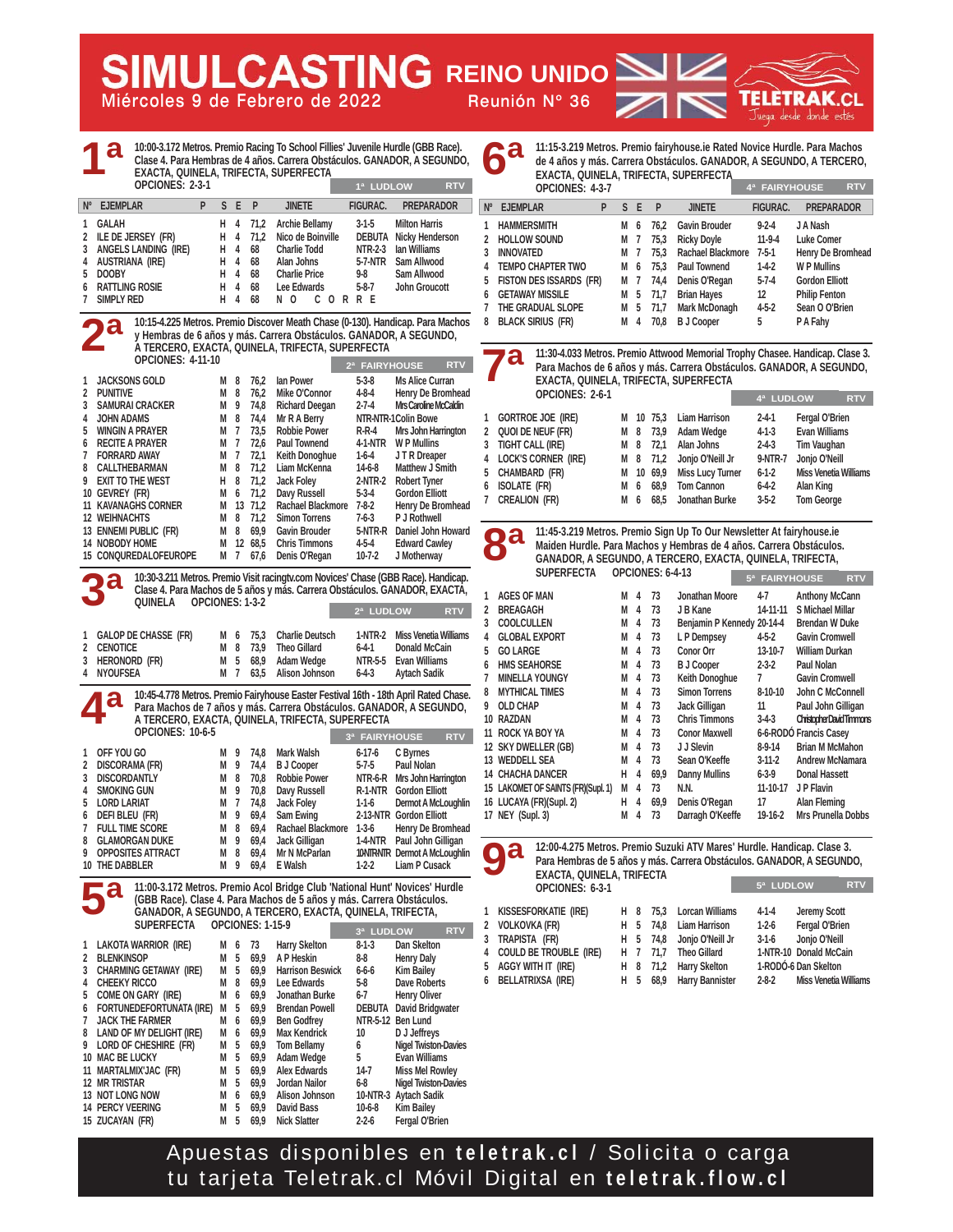**Miércoles 9 de Febrero de 2022 Reunión Nº 36 AULCASTING REINO UNIDO** 

rar Juega desde donde estés

| EXACTA, QUINELA, TRIFECTA, SUPERFECTA<br>OPCIONES: 2-3-1                                                                                                                                                                                                                                                                     |             |                |                      |                                                                                                                                                                                                                   | 1ª LUDLOW                         | <b>RTV</b>                                                                   |                      |
|------------------------------------------------------------------------------------------------------------------------------------------------------------------------------------------------------------------------------------------------------------------------------------------------------------------------------|-------------|----------------|----------------------|-------------------------------------------------------------------------------------------------------------------------------------------------------------------------------------------------------------------|-----------------------------------|------------------------------------------------------------------------------|----------------------|
| $N^{\circ}$<br><b>EJEMPLAR</b><br>P                                                                                                                                                                                                                                                                                          | S           | Е              | P                    | <b>JINETE</b>                                                                                                                                                                                                     | FIGURAC.                          | PREPARADOR                                                                   | $N^{\circ}$          |
| <b>GALAH</b>                                                                                                                                                                                                                                                                                                                 | н           | 4              | 71,2                 | <b>Archie Bellamy</b>                                                                                                                                                                                             | 3-1-5                             | Milton Harris                                                                | 1                    |
| ILE DE JERSEY (FR)                                                                                                                                                                                                                                                                                                           | н           | 4<br>4         | 71,2                 | Nico de Boinville                                                                                                                                                                                                 |                                   | <b>DEBUTA</b> Nicky Henderson                                                | 2                    |
| ANGELS LANDING (IRE)<br><b>AUSTRIANA (IRE)</b>                                                                                                                                                                                                                                                                               | н<br>Н      | 4              | 68<br>68             | <b>Charlie Todd</b><br>Alan Johns                                                                                                                                                                                 | NTR-2-3<br>5-7-NTR                | lan Williams<br>Sam Allwood                                                  | 3                    |
| <b>DOOBY</b>                                                                                                                                                                                                                                                                                                                 | Н           | 4              | 68                   | <b>Charlie Price</b>                                                                                                                                                                                              | 9-8                               | Sam Allwood                                                                  | 4                    |
| <b>RATTLING ROSIE</b>                                                                                                                                                                                                                                                                                                        | Н           | 4              | 68                   | Lee Edwards                                                                                                                                                                                                       | 5-8-7                             | <b>John Groucott</b>                                                         | 5                    |
| SIMPLY RED                                                                                                                                                                                                                                                                                                                   | н           | 4              | 68                   | N O<br>CORRE                                                                                                                                                                                                      |                                   |                                                                              | 6<br>7               |
| O.<br><b>OPCIONES: 4-11-10</b>                                                                                                                                                                                                                                                                                               |             |                |                      | 10:15-4.225 Metros. Premio Discover Meath Chase (0-130). Handicap. Para Machos<br>y Hembras de 6 años y más. Carrera Obstáculos. GANADOR, A SEGUNDO,<br>A TERCERO, EXACTA, QUINELA, TRIFECTA, SUPERFECTA          |                                   |                                                                              | 8                    |
|                                                                                                                                                                                                                                                                                                                              |             |                |                      |                                                                                                                                                                                                                   | 2ª FAIRYHOUSE                     | RTV                                                                          |                      |
| JACKSONS GOLD                                                                                                                                                                                                                                                                                                                | M           | 8              | 76,2                 | lan Power                                                                                                                                                                                                         | $5-3-8$                           | <b>Ms Alice Curran</b>                                                       |                      |
| <b>PUNITIVE</b><br><b>SAMURAI CRACKER</b>                                                                                                                                                                                                                                                                                    | M<br>M      | 8<br>9         | 76,2<br>74,8         | Mike O'Connor<br><b>Richard Deegan</b>                                                                                                                                                                            | 4-8-4<br>$2 - 7 - 4$              | Henry De Bromhead<br>Mrs Caroline McCaldin                                   |                      |
| <b>JOHN ADAMS</b>                                                                                                                                                                                                                                                                                                            | М           | 8              | 74,4                 | Mr R A Berry                                                                                                                                                                                                      |                                   | NTR-NTR-1Colin Bowe                                                          | 1                    |
| <b>WINGIN A PRAYER</b>                                                                                                                                                                                                                                                                                                       | M           | 7              | 73,5                 | <b>Robbie Power</b>                                                                                                                                                                                               | $R-R-4$                           | Mrs John Harrington                                                          | 2                    |
| <b>RECITE A PRAYER</b>                                                                                                                                                                                                                                                                                                       | М           | 7              | 72,6                 | Paul Townend                                                                                                                                                                                                      | 4-1-NTR                           | <b>WP Mullins</b>                                                            | 3                    |
| <b>FORRARD AWAY</b><br>CALLTHEBARMAN                                                                                                                                                                                                                                                                                         | М<br>М      | 7<br>8         | 72,1<br>71,2         | Keith Donoghue<br>Liam McKenna                                                                                                                                                                                    | 1-6-4<br>$14-6-8$                 | J T R Dreaper<br><b>Matthew J Smith</b>                                      | 4                    |
| <b>EXIT TO THE WEST</b>                                                                                                                                                                                                                                                                                                      | H.          | 8              | 71,2                 | <b>Jack Folev</b>                                                                                                                                                                                                 | 2-NTR-2                           | <b>Robert Tyner</b>                                                          | 5                    |
| 10 GEVREY (FR)                                                                                                                                                                                                                                                                                                               | М           | 6              | 71,2                 | Davy Russell                                                                                                                                                                                                      | $5-3-4$                           | <b>Gordon Elliott</b>                                                        | 6<br>7               |
| <b>11 KAVANAGHS CORNER</b>                                                                                                                                                                                                                                                                                                   | М           |                | 13 71,2              | Rachael Blackmore                                                                                                                                                                                                 | $7 - 8 - 2$                       | Henry De Bromhead                                                            |                      |
| <b>12 WEIHNACHTS</b>                                                                                                                                                                                                                                                                                                         | M           | 8              | 71,2                 | <b>Simon Torrens</b><br><b>Gavin Brouder</b>                                                                                                                                                                      | $7-6-3$                           | P J Rothwell                                                                 |                      |
| 13 ENNEMI PUBLIC (FR)<br>14 NOBODY HOME                                                                                                                                                                                                                                                                                      | M<br>М      | 8              | 69,9<br>12 68,5      | <b>Chris Timmons</b>                                                                                                                                                                                              | $4 - 5 - 4$                       | 5-NTR-R Daniel John Howard<br><b>Edward Cawley</b>                           |                      |
| 15 CONQUREDALOFEUROPE                                                                                                                                                                                                                                                                                                        | М           | $\overline{1}$ | 67,6                 | Denis O'Regan                                                                                                                                                                                                     | $10 - 7 - 2$                      | J Motherway                                                                  |                      |
| GALOP DE CHASSE (FR)<br><b>CENOTICE</b><br>Heronord (FR)                                                                                                                                                                                                                                                                     | M<br>М<br>М | 6<br>8<br>5    | 75,3<br>73,9<br>68,9 | <b>Charlie Deutsch</b><br><b>Theo Gillard</b><br>Adam Wedge                                                                                                                                                       | 1-NTR-2<br>$6 - 4 - 1$<br>NTR-5-5 | <b>Miss Venetia Williams</b><br><b>Donald McCain</b><br><b>Evan Williams</b> | 3<br>4<br>5<br>6     |
| <b>NYOUFSEA</b>                                                                                                                                                                                                                                                                                                              | М           | -7             | 63,5                 | Alison Johnson                                                                                                                                                                                                    | $6 - 4 - 3$                       | Aytach Sadik                                                                 | 7                    |
|                                                                                                                                                                                                                                                                                                                              |             |                |                      | 10:45-4.778 Metros. Premio Fairyhouse Easter Festival 16th - 18th April Rated Chase.<br>Para Machos de 7 años y más. Carrera Obstáculos. GANADOR, A SEGUNDO,<br>A TERCERO, EXACTA, QUINELA, TRIFECTA, SUPERFECTA  |                                   |                                                                              | 8<br>9<br>10 RAZDA   |
| <b>OPCIONES: 10-6-5</b>                                                                                                                                                                                                                                                                                                      |             |                |                      |                                                                                                                                                                                                                   | 3ª FAIRYHOUSE                     | <b>RTV</b>                                                                   | <b>11 ROCK</b>       |
|                                                                                                                                                                                                                                                                                                                              | M           | 9              | 74,8                 | Mark Walsh                                                                                                                                                                                                        | 6-17-6                            | C Byrnes                                                                     | 12 SKY DV            |
|                                                                                                                                                                                                                                                                                                                              | M           | 9              | 74,4                 | <b>B</b> J Cooper                                                                                                                                                                                                 | $5 - 7 - 5$                       | Paul Nolan                                                                   | 13 WEDDE<br>14 CHACH |
|                                                                                                                                                                                                                                                                                                                              | M<br>М      | 8<br>9         | 70,8<br>70,8         | <b>Robbie Power</b>                                                                                                                                                                                               |                                   | NTR-6-R Mrs John Harrington<br>R-1-NTR Gordon Elliott                        | 15 LAKOMI            |
|                                                                                                                                                                                                                                                                                                                              | M           | $\overline{1}$ | 74,8                 | Davy Russell<br><b>Jack Foley</b>                                                                                                                                                                                 | 1-1-6                             | Dermot A McLoughlin                                                          | 16 LUCAY             |
|                                                                                                                                                                                                                                                                                                                              | M           | 9              | 69,4                 | Sam Ewing                                                                                                                                                                                                         |                                   | 2-13-NTR Gordon Elliott                                                      | 17 NEY (S            |
|                                                                                                                                                                                                                                                                                                                              |             | M 8            | 69,4                 | Rachael Blackmore 1-3-6                                                                                                                                                                                           |                                   | Henry De Bromhead                                                            |                      |
|                                                                                                                                                                                                                                                                                                                              |             | M 9<br>M 8     | 69,4                 | Jack Gilligan                                                                                                                                                                                                     | 1-4-NTR                           | Paul John Gilligan                                                           |                      |
|                                                                                                                                                                                                                                                                                                                              |             | M 9            | 69,4<br>69,4         | Mr N McParlan<br>E Walsh                                                                                                                                                                                          | $1-2-2$                           | 10NTRNTR Dermot A McLoughlin<br>Liam P Cusack                                |                      |
| <b>SUPERFECTA</b>                                                                                                                                                                                                                                                                                                            |             |                | OPCIONES: 1-15-9     | 11:00-3.172 Metros. Premio Acol Bridge Club 'National Hunt' Novices' Hurdle<br>(GBB Race). Clase 4. Para Machos de 5 años y más. Carrera Obstáculos.<br>GANADOR, A SEGUNDO, A TERCERO, EXACTA, QUINELA, TRIFECTA, | 3ª LUDLOW                         | <b>RTV</b>                                                                   | 1<br>2               |
|                                                                                                                                                                                                                                                                                                                              | M 6         |                | 73                   | <b>Harry Skelton</b>                                                                                                                                                                                              | $8 - 1 - 3$                       | Dan Skelton                                                                  | 3                    |
|                                                                                                                                                                                                                                                                                                                              | M           | -5             | 69,9                 | A P Heskin                                                                                                                                                                                                        | 8-8                               | <b>Henry Daly</b>                                                            | 4<br>5               |
|                                                                                                                                                                                                                                                                                                                              | M 5         |                | 69,9                 | <b>Harrison Beswick</b>                                                                                                                                                                                           | 6-6-6                             | Kim Bailey                                                                   | 6                    |
|                                                                                                                                                                                                                                                                                                                              | M<br>M      | 8<br>6         | 69,9<br>69,9         | Lee Edwards<br>Jonathan Burke                                                                                                                                                                                     | 5-8<br>6-7                        | Dave Roberts<br><b>Henry Oliver</b>                                          |                      |
|                                                                                                                                                                                                                                                                                                                              |             | 5              | 69,9                 | <b>Brendan Powell</b>                                                                                                                                                                                             |                                   | <b>DEBUTA</b> David Bridgwater                                               |                      |
|                                                                                                                                                                                                                                                                                                                              | M           | 6              | 69,9                 | <b>Ben Godfrey</b>                                                                                                                                                                                                |                                   | NTR-5-12 Ben Lund                                                            |                      |
|                                                                                                                                                                                                                                                                                                                              | M 6         |                | 69,9                 | <b>Max Kendrick</b>                                                                                                                                                                                               | 10                                | D J Jeffreys                                                                 |                      |
| OFF YOU GO                                                                                                                                                                                                                                                                                                                   | M           | 5              | 69,9                 | <b>Tom Bellamy</b>                                                                                                                                                                                                | 6                                 | <b>Nigel Twiston-Davies</b>                                                  |                      |
| DISCORAMA (FR)<br><b>DISCORDANTLY</b><br><b>SMOKING GUN</b><br>DEFI BLEU (FR)<br><b>GLAMORGAN DUKE</b><br><b>OPPOSITES ATTRACT</b><br>LAKOTA WARRIOR (IRE)<br><b>BLENKINSOP</b><br><b>CHEEKY RICCO</b>                                                                                                                       | M<br>M      | 5<br>- 5       | 69,9<br>69,9         | Adam Wedge<br><b>Alex Edwards</b>                                                                                                                                                                                 | 5<br>14-7                         | Evan Williams<br><b>Miss Mel Rowley</b>                                      |                      |
| LORD LARIAT<br>7<br><b>FULL TIME SCORE</b><br>10 THE DABBLER<br>CHARMING GETAWAY (IRE)<br>4<br>5<br>COME ON GARY (IRE)<br>FORTUNEDEFORTUNATA (IRE) M<br>6<br><b>JACK THE FARMER</b><br>8 LAND OF MY DELIGHT (IRE)<br>9 LORD OF CHESHIRE (FR)<br>10 MAC BE LUCKY<br>11 MARTALMIX'JAC (FR)<br>12 MR TRISTAR<br>13 NOT LONG NOW | M<br>M      | -5<br>6        | 69,9<br>69,9         | Jordan Nailor<br>Alison Johnson                                                                                                                                                                                   | 6-8                               | Nigel Twiston-Davies<br>10-NTR-3 Aytach Sadik                                |                      |

S

**14 PERCY VEERING M 5 69,9 David Bass 10-6-8 Kim Bailey 15 69,9 Nick Slatter** 

**11:15-3.219 Metros. Premio fairyhouse.ie Rated Novice Hurdle. Para Machos de 4 años y más. Carrera Obstáculos. GANADOR, A SEGUNDO, A TERCERO, EXACTA, QUINELA, TRIFECTA, SUPERFECTA**

|             | LANOIA, QUINLLA, TIME LOTA, JUI LIM LOTA<br>OPCIONES: 4-3-7 |   | 4ª FAIRYHOUSE | <b>RTV</b>     |      |                      |                 |                       |
|-------------|-------------------------------------------------------------|---|---------------|----------------|------|----------------------|-----------------|-----------------------|
| $N^{\circ}$ | <b>EJEMPLAR</b>                                             | P | S F           |                | P    | <b>JINETE</b>        | <b>FIGURAC.</b> | <b>PREPARADOR</b>     |
|             | <b>HAMMERSMITH</b>                                          |   | м             | 6              | 76.2 | <b>Gavin Brouder</b> | $9 - 2 - 4$     | J A Nash              |
|             | <b>HOLLOW SOUND</b>                                         |   | М             | 7              | 75,3 | <b>Ricky Doyle</b>   | $11-9-4$        | Luke Comer            |
| 3           | <b>INNOVATED</b>                                            |   | м             | -7             | 75.3 | Rachael Blackmore    | $7-5-1$         | Henry De Bromhead     |
| 4           | <b>TEMPO CHAPTER TWO</b>                                    |   | м             | 6              | 75.3 | <b>Paul Townend</b>  | $1-4-2$         | <b>WP Mullins</b>     |
| 5           | <b>FISTON DES ISSARDS (FR)</b>                              |   | м             | $\overline{7}$ | 74,4 | Denis O'Regan        | $5-7-4$         | <b>Gordon Elliott</b> |
| 6           | <b>GETAWAY MISSILE</b>                                      |   | М             | 5              | 71,7 | <b>Brian Hayes</b>   | 12              | <b>Philip Fenton</b>  |
|             | THE GRADUAL SLOPE                                           |   | М             | 5              | 71,7 | Mark McDonagh        | $4 - 5 - 2$     | Sean O O'Brien        |
| 8           | <b>BLACK SIRIUS (FR)</b>                                    |   | м             | 4              | 70.8 | <b>B</b> J Cooper    | 5               | P A Fahy              |
|             |                                                             |   |               |                |      |                      |                 |                       |

**11:30-4.033 Metros. Premio Attwood Memorial Trophy Chasee. Handicap. Clase 3. Para Machos de 6 años y más. Carrera Obstáculos. GANADOR, A SEGUNDO, EXACTA, QUINELA, TRIFECTA, SUPERFECTA**

| LAND IN, QUINLER, TNI LOTA, JUI LIN LOTA |   |     |           |                           |             |                              |            |
|------------------------------------------|---|-----|-----------|---------------------------|-------------|------------------------------|------------|
| OPCIONES: 2-6-1                          |   |     |           |                           | 4ª LUDLOW   |                              | <b>RTV</b> |
| 1 Gortroe Joe (Ire)                      |   |     |           | M 10 75.3 Liam Harrison   | $2 - 4 - 1$ | Fergal O'Brien               |            |
| 2 Quoi de Neuf (FR)                      |   |     |           | M 8 73,9 Adam Wedge       | $4 - 1 - 3$ | <b>Evan Williams</b>         |            |
| 3 TIGHT CALL (IRE)                       |   | M 8 | 72.1      | Alan Johns                | $2 - 4 - 3$ | Tim Vaughan                  |            |
| 4 LOCK'S CORNER (IRE)                    |   |     |           | M 8 71,2 Jonjo O'Neill Jr | 9-NTR-7     | Jonjo O'Neill                |            |
| 5 CHAMBARD (FR)                          |   |     | M 10 69.9 | <b>Miss Lucy Turner</b>   | $6 - 1 - 2$ | <b>Miss Venetia Williams</b> |            |
| 6 ISOLATE (FR)                           | м |     | 6 68.9    | <b>Tom Cannon</b>         | $6 - 4 - 2$ | Alan King                    |            |
| 7 CREALION (FR)                          |   |     |           | M 6 68,5 Jonathan Burke   | $3-5-2$     | <b>Tom George</b>            |            |
|                                          |   |     |           |                           |             |                              |            |

**11:45-3.219 Metros. Premio Sign Up To Our Newsletter At fairyhouse.ie Maiden Hurdle. Para Machos y Hembras de 4 años. Carrera Obstáculos. GANADOR, A SEGUNDO, A TERCERO, EXACTA, QUINELA, TRIFECTA,** 

|   | <b>SUPERFECTA</b>                   |   |   |      | OPCIONES: 6-4-13           | 5ª FAIRYHOUSE  | <b>RTV</b>                     |
|---|-------------------------------------|---|---|------|----------------------------|----------------|--------------------------------|
| 1 | <b>AGES OF MAN</b>                  | м | 4 | 73   | Jonathan Moore             | $4-7$          | <b>Anthony McCann</b>          |
| 2 | <b>BREAGAGH</b>                     | М | 4 | 73   | J B Kane                   | 14-11-11       | S Michael Millar               |
| 3 | <b>COOLCULLEN</b>                   | М | 4 | 73   | Benjamin P Kennedy 20-14-4 |                | <b>Brendan W Duke</b>          |
| 4 | <b>GLOBAL EXPORT</b>                | М | 4 | 73   | L P Dempsey                | $4 - 5 - 2$    | <b>Gavin Cromwell</b>          |
| 5 | <b>GO LARGE</b>                     | М | 4 | 73   | <b>Conor Orr</b>           | 13-10-7        | <b>William Durkan</b>          |
| 6 | <b>HMS SEAHORSE</b>                 | М | 4 | 73   | <b>B J Cooper</b>          | $2 - 3 - 2$    | Paul Nolan                     |
| 7 | <b>MINELLA YOUNGY</b>               | М | 4 | 73   | Keith Donoghue             | 7              | <b>Gavin Cromwell</b>          |
| 8 | <b>MYTHICAL TIMES</b>               | М | 4 | 73   | <b>Simon Torrens</b>       | $8-10-10$      | John C McConnell               |
| 9 | <b>OLD CHAP</b>                     | М | 4 | 73   | Jack Gilligan              | 11             | Paul John Gilligan             |
|   | 10 RAZDAN                           | М | 4 | 73   | <b>Chris Timmons</b>       | $3-4-3$        | <b>ChristopherDavidTimmons</b> |
|   | 11 ROCK YA BOY YA                   | М | 4 | 73   | <b>Conor Maxwell</b>       |                | 6-6-RODÓ Francis Casey         |
|   | 12 SKY DWELLER (GB)                 | М | 4 | 73   | J J Slevin                 | $8-9-14$       | <b>Brian M McMahon</b>         |
|   | 13 WEDDELL SEA                      | М | 4 | 73   | Sean O'Keeffe              | $3-11-2$       | <b>Andrew McNamara</b>         |
|   | <b>14 CHACHA DANCER</b>             | н | 4 | 69.9 | <b>Danny Mullins</b>       | $6 - 3 - 9$    | <b>Donal Hassett</b>           |
|   | 15 LAKOMET OF SAINTS (FR) (Supl. 1) | М | 4 | 73   | N.N.                       | $11 - 10 - 17$ | J P Flavin                     |
|   | 16 LUCAYA (FR)(Supl. 2)             | н | 4 | 69,9 | Denis O'Regan              | 17             | Alan Fleming                   |
|   | 17 NEY (Supl. 3)                    | М | 4 | 73   | Darragh O'Keeffe           | 19-16-2        | Mrs Prunella Dobbs             |
|   |                                     |   |   |      |                            |                |                                |

**12:00-4.275 Metros. Premio Suzuki ATV Mares' Hurdle. Handicap. Clase 3. Para Hembras de 5 años y más. Carrera Obstáculos. GANADOR, A SEGUNDO, EXACTA, QUINELA, TRIFECTA OPCIONES: 6-3-1 5ª LUDLOW RTV**

| 1 KISSESFORKATIE (IRE)   |  | H 8 75,3 Lorcan Williams  | $4-1-4$     | Jeremy Scott           |
|--------------------------|--|---------------------------|-------------|------------------------|
| 2 VOLKOVKA (FR)          |  | H 5 74,8 Liam Harrison    | $1-2-6$     | Fergal O'Brien         |
| 3 TRAPISTA (FR)          |  | H 5 74,8 Jonjo O'Neill Jr | $3-1-6$     | Jonjo O'Neill          |
| 4 COULD BE TROUBLE (IRE) |  | H 7 71.7 Theo Gillard     |             | 1-NTR-10 Donald McCain |
| 5 AGGY WITH IT (IRE)     |  | H 8 71,2 Harry Skelton    |             | 1-RODÓ-6 Dan Skelton   |
| 6 BELLATRIXSA (IRE)      |  | H 5 68,9 Harry Bannister  | $2 - 8 - 2$ | Miss Venetia Williams  |
|                          |  |                           |             |                        |

Apuestas disponibles en **teletrak.cl** / Solicita o carga tu tarjeta Teletrak.cl Móvil Digital en **teletrak.flow.cl**